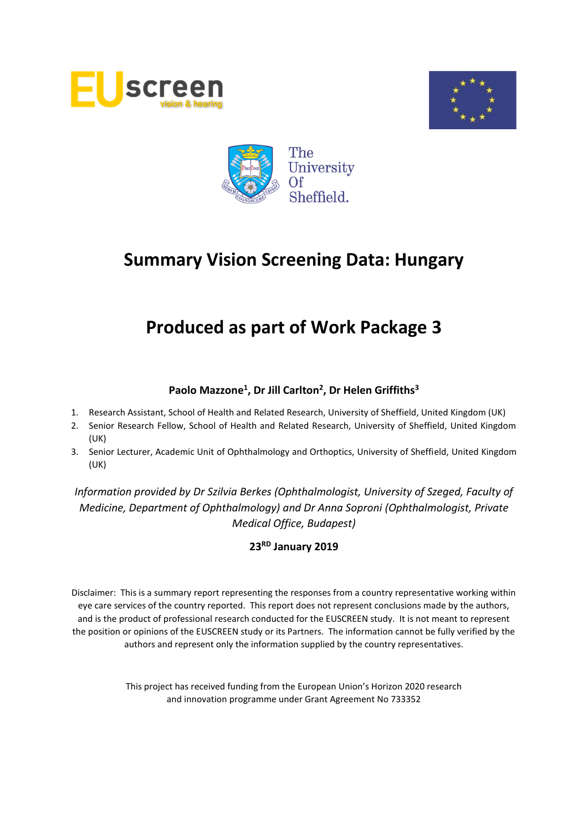





# **Produced as part of Work Package 3**

## **Paolo Mazzone<sup>1</sup> , Dr Jill Carlton<sup>2</sup> , Dr Helen Griffiths<sup>3</sup>**

- 1. Research Assistant, School of Health and Related Research, University of Sheffield, United Kingdom (UK)
- 2. Senior Research Fellow, School of Health and Related Research, University of Sheffield, United Kingdom (UK)
- 3. Senior Lecturer, Academic Unit of Ophthalmology and Orthoptics, University of Sheffield, United Kingdom (UK)

*Information provided by Dr Szilvia Berkes (Ophthalmologist, University of Szeged, Faculty of Medicine, Department of Ophthalmology) and Dr Anna Soproni (Ophthalmologist, Private Medical Office, Budapest)*

**23 RD January 2019**

Disclaimer: This is a summary report representing the responses from a country representative working within eye care services of the country reported. This report does not represent conclusions made by the authors, and is the product of professional research conducted for the EUSCREEN study. It is not meant to represent the position or opinions of the EUSCREEN study or its Partners. The information cannot be fully verified by the authors and represent only the information supplied by the country representatives.

> This project has received funding from the European Union's Horizon 2020 research and innovation programme under Grant Agreement No 733352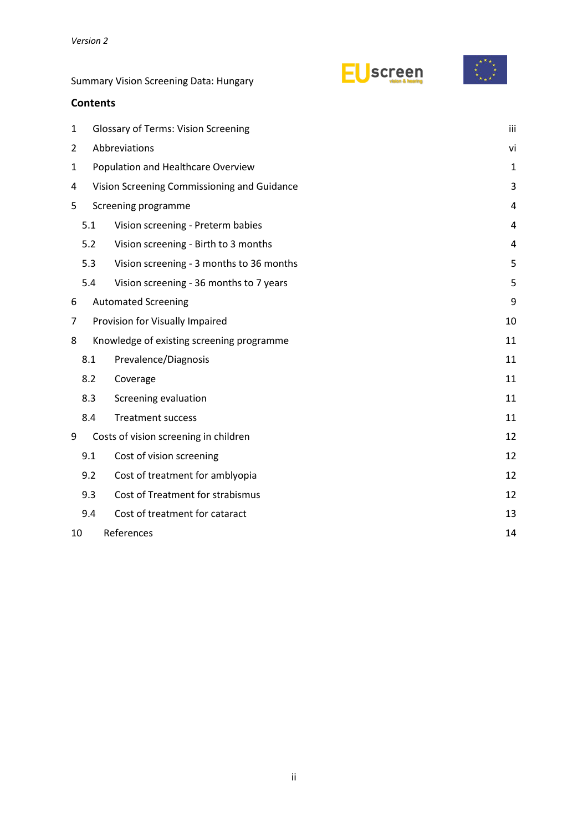| screen |
|--------|
|--------|



## **Contents**

| $\mathbf 1$ |     | <b>Glossary of Terms: Vision Screening</b>  |    |  |  |  |  |  |  |
|-------------|-----|---------------------------------------------|----|--|--|--|--|--|--|
| 2           |     | Abbreviations                               |    |  |  |  |  |  |  |
| 1           |     | Population and Healthcare Overview          |    |  |  |  |  |  |  |
| 4           |     | Vision Screening Commissioning and Guidance |    |  |  |  |  |  |  |
| 5           |     | Screening programme                         |    |  |  |  |  |  |  |
|             | 5.1 | Vision screening - Preterm babies           | 4  |  |  |  |  |  |  |
|             | 5.2 | Vision screening - Birth to 3 months        | 4  |  |  |  |  |  |  |
|             | 5.3 | Vision screening - 3 months to 36 months    | 5  |  |  |  |  |  |  |
|             | 5.4 | Vision screening - 36 months to 7 years     | 5  |  |  |  |  |  |  |
| 6           |     | <b>Automated Screening</b>                  | 9  |  |  |  |  |  |  |
| 7           |     | Provision for Visually Impaired             | 10 |  |  |  |  |  |  |
| 8           |     | Knowledge of existing screening programme   | 11 |  |  |  |  |  |  |
|             | 8.1 | Prevalence/Diagnosis                        | 11 |  |  |  |  |  |  |
|             | 8.2 | Coverage                                    | 11 |  |  |  |  |  |  |
|             | 8.3 | Screening evaluation                        | 11 |  |  |  |  |  |  |
|             | 8.4 | <b>Treatment success</b>                    | 11 |  |  |  |  |  |  |
| 9           |     | Costs of vision screening in children       | 12 |  |  |  |  |  |  |
|             | 9.1 | Cost of vision screening                    | 12 |  |  |  |  |  |  |
|             | 9.2 | Cost of treatment for amblyopia             | 12 |  |  |  |  |  |  |
|             | 9.3 | Cost of Treatment for strabismus            | 12 |  |  |  |  |  |  |
|             | 9.4 | Cost of treatment for cataract              | 13 |  |  |  |  |  |  |
| 10          |     | References                                  | 14 |  |  |  |  |  |  |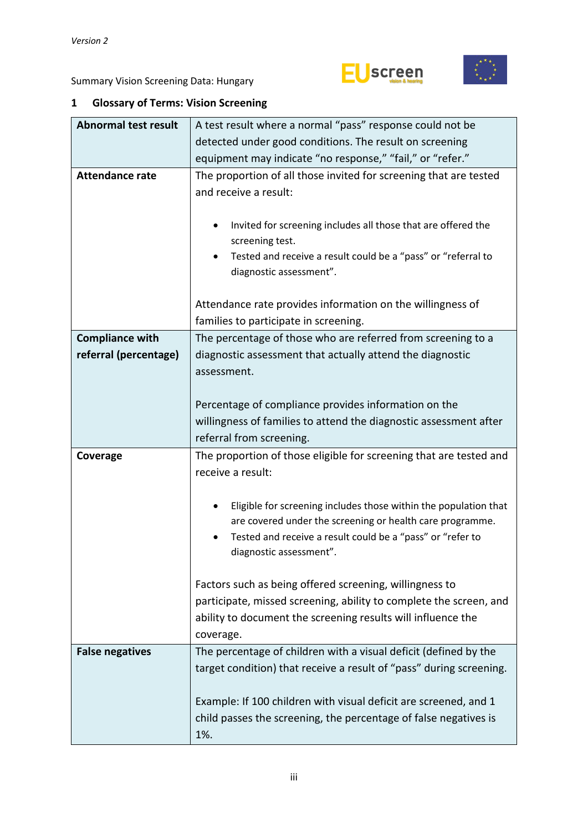



### <span id="page-2-0"></span>**1 Glossary of Terms: Vision Screening**

| <b>Abnormal test result</b> | A test result where a normal "pass" response could not be           |  |  |  |  |  |  |  |
|-----------------------------|---------------------------------------------------------------------|--|--|--|--|--|--|--|
|                             | detected under good conditions. The result on screening             |  |  |  |  |  |  |  |
|                             | equipment may indicate "no response," "fail," or "refer."           |  |  |  |  |  |  |  |
| <b>Attendance rate</b>      | The proportion of all those invited for screening that are tested   |  |  |  |  |  |  |  |
|                             | and receive a result:                                               |  |  |  |  |  |  |  |
|                             |                                                                     |  |  |  |  |  |  |  |
|                             | Invited for screening includes all those that are offered the<br>٠  |  |  |  |  |  |  |  |
|                             | screening test.                                                     |  |  |  |  |  |  |  |
|                             | Tested and receive a result could be a "pass" or "referral to<br>٠  |  |  |  |  |  |  |  |
|                             | diagnostic assessment".                                             |  |  |  |  |  |  |  |
|                             |                                                                     |  |  |  |  |  |  |  |
|                             | Attendance rate provides information on the willingness of          |  |  |  |  |  |  |  |
|                             | families to participate in screening.                               |  |  |  |  |  |  |  |
| <b>Compliance with</b>      | The percentage of those who are referred from screening to a        |  |  |  |  |  |  |  |
| referral (percentage)       | diagnostic assessment that actually attend the diagnostic           |  |  |  |  |  |  |  |
|                             | assessment.                                                         |  |  |  |  |  |  |  |
|                             |                                                                     |  |  |  |  |  |  |  |
|                             | Percentage of compliance provides information on the                |  |  |  |  |  |  |  |
|                             | willingness of families to attend the diagnostic assessment after   |  |  |  |  |  |  |  |
|                             | referral from screening.                                            |  |  |  |  |  |  |  |
| Coverage                    | The proportion of those eligible for screening that are tested and  |  |  |  |  |  |  |  |
|                             | receive a result:                                                   |  |  |  |  |  |  |  |
|                             |                                                                     |  |  |  |  |  |  |  |
|                             | Eligible for screening includes those within the population that    |  |  |  |  |  |  |  |
|                             | are covered under the screening or health care programme.           |  |  |  |  |  |  |  |
|                             | Tested and receive a result could be a "pass" or "refer to          |  |  |  |  |  |  |  |
|                             | diagnostic assessment".                                             |  |  |  |  |  |  |  |
|                             |                                                                     |  |  |  |  |  |  |  |
|                             | Factors such as being offered screening, willingness to             |  |  |  |  |  |  |  |
|                             | participate, missed screening, ability to complete the screen, and  |  |  |  |  |  |  |  |
|                             | ability to document the screening results will influence the        |  |  |  |  |  |  |  |
|                             | coverage.                                                           |  |  |  |  |  |  |  |
| <b>False negatives</b>      | The percentage of children with a visual deficit (defined by the    |  |  |  |  |  |  |  |
|                             | target condition) that receive a result of "pass" during screening. |  |  |  |  |  |  |  |
|                             |                                                                     |  |  |  |  |  |  |  |
|                             | Example: If 100 children with visual deficit are screened, and 1    |  |  |  |  |  |  |  |
|                             |                                                                     |  |  |  |  |  |  |  |
|                             | child passes the screening, the percentage of false negatives is    |  |  |  |  |  |  |  |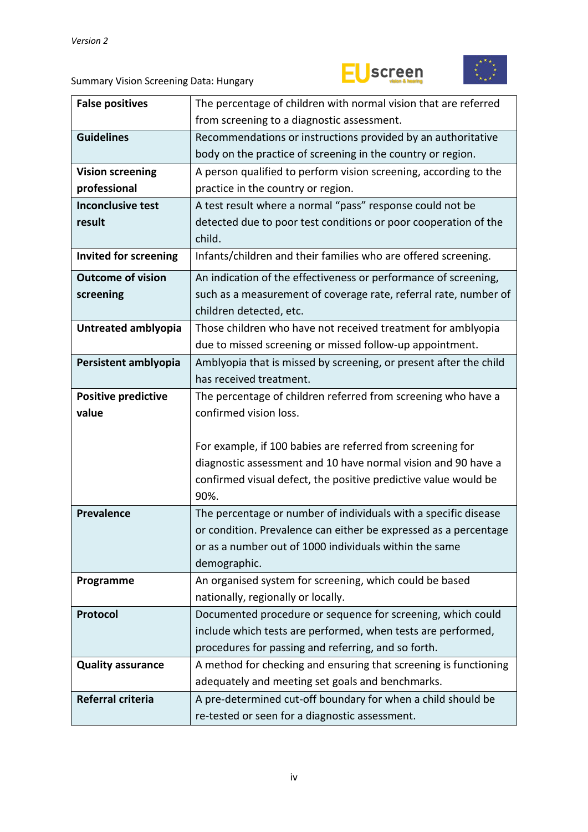



| <b>False positives</b>       | The percentage of children with normal vision that are referred                                                      |
|------------------------------|----------------------------------------------------------------------------------------------------------------------|
|                              | from screening to a diagnostic assessment.                                                                           |
| <b>Guidelines</b>            | Recommendations or instructions provided by an authoritative                                                         |
|                              | body on the practice of screening in the country or region.                                                          |
| <b>Vision screening</b>      | A person qualified to perform vision screening, according to the                                                     |
| professional                 | practice in the country or region.                                                                                   |
| <b>Inconclusive test</b>     | A test result where a normal "pass" response could not be                                                            |
| result                       | detected due to poor test conditions or poor cooperation of the                                                      |
|                              | child.                                                                                                               |
| <b>Invited for screening</b> | Infants/children and their families who are offered screening.                                                       |
| <b>Outcome of vision</b>     | An indication of the effectiveness or performance of screening,                                                      |
| screening                    | such as a measurement of coverage rate, referral rate, number of                                                     |
|                              | children detected, etc.                                                                                              |
| Untreated amblyopia          | Those children who have not received treatment for amblyopia                                                         |
|                              | due to missed screening or missed follow-up appointment.                                                             |
| Persistent amblyopia         | Amblyopia that is missed by screening, or present after the child                                                    |
|                              | has received treatment.                                                                                              |
| <b>Positive predictive</b>   | The percentage of children referred from screening who have a                                                        |
| value                        | confirmed vision loss.                                                                                               |
|                              |                                                                                                                      |
|                              | For example, if 100 babies are referred from screening for                                                           |
|                              | diagnostic assessment and 10 have normal vision and 90 have a                                                        |
|                              | confirmed visual defect, the positive predictive value would be                                                      |
|                              | 90%.                                                                                                                 |
| <b>Prevalence</b>            | The percentage or number of individuals with a specific disease                                                      |
|                              | or condition. Prevalence can either be expressed as a percentage                                                     |
|                              | or as a number out of 1000 individuals within the same                                                               |
|                              | demographic.                                                                                                         |
| Programme                    | An organised system for screening, which could be based                                                              |
|                              | nationally, regionally or locally.                                                                                   |
| Protocol                     | Documented procedure or sequence for screening, which could                                                          |
|                              | include which tests are performed, when tests are performed,                                                         |
|                              | procedures for passing and referring, and so forth.                                                                  |
| <b>Quality assurance</b>     | A method for checking and ensuring that screening is functioning<br>adequately and meeting set goals and benchmarks. |
| Referral criteria            | A pre-determined cut-off boundary for when a child should be                                                         |
|                              |                                                                                                                      |
|                              | re-tested or seen for a diagnostic assessment.                                                                       |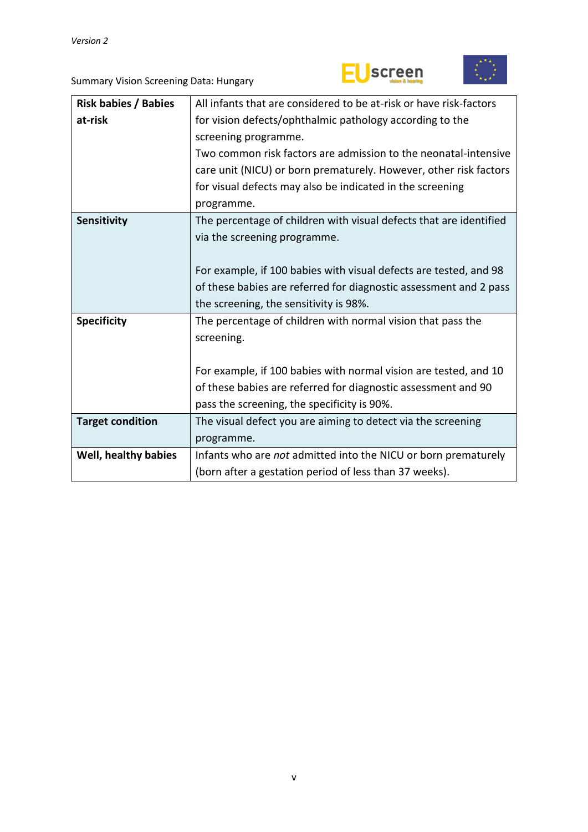



| <b>Risk babies / Babies</b> | All infants that are considered to be at-risk or have risk-factors |  |  |  |  |  |
|-----------------------------|--------------------------------------------------------------------|--|--|--|--|--|
| at-risk                     | for vision defects/ophthalmic pathology according to the           |  |  |  |  |  |
|                             | screening programme.                                               |  |  |  |  |  |
|                             | Two common risk factors are admission to the neonatal-intensive    |  |  |  |  |  |
|                             | care unit (NICU) or born prematurely. However, other risk factors  |  |  |  |  |  |
|                             | for visual defects may also be indicated in the screening          |  |  |  |  |  |
|                             | programme.                                                         |  |  |  |  |  |
| Sensitivity                 | The percentage of children with visual defects that are identified |  |  |  |  |  |
|                             | via the screening programme.                                       |  |  |  |  |  |
|                             |                                                                    |  |  |  |  |  |
|                             | For example, if 100 babies with visual defects are tested, and 98  |  |  |  |  |  |
|                             | of these babies are referred for diagnostic assessment and 2 pass  |  |  |  |  |  |
|                             | the screening, the sensitivity is 98%.                             |  |  |  |  |  |
| <b>Specificity</b>          | The percentage of children with normal vision that pass the        |  |  |  |  |  |
|                             | screening.                                                         |  |  |  |  |  |
|                             |                                                                    |  |  |  |  |  |
|                             | For example, if 100 babies with normal vision are tested, and 10   |  |  |  |  |  |
|                             | of these babies are referred for diagnostic assessment and 90      |  |  |  |  |  |
|                             | pass the screening, the specificity is 90%.                        |  |  |  |  |  |
| <b>Target condition</b>     | The visual defect you are aiming to detect via the screening       |  |  |  |  |  |
|                             | programme.                                                         |  |  |  |  |  |
| Well, healthy babies        | Infants who are not admitted into the NICU or born prematurely     |  |  |  |  |  |
|                             | (born after a gestation period of less than 37 weeks).             |  |  |  |  |  |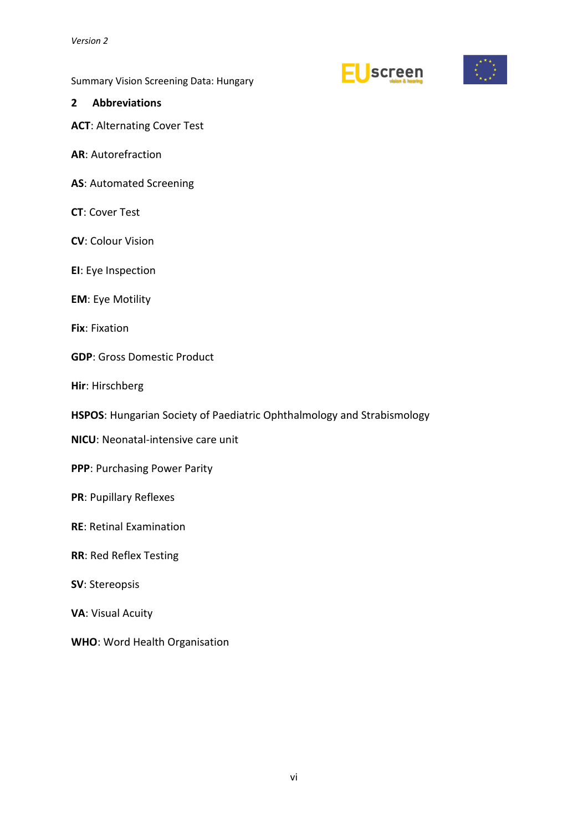**Screen** 



Summary Vision Screening Data: Hungary

#### <span id="page-5-0"></span>**2 Abbreviations**

**ACT**: Alternating Cover Test

- **AR**: Autorefraction
- **AS**: Automated Screening
- **CT**: Cover Test
- **CV**: Colour Vision
- **EI**: Eye Inspection
- **EM**: Eye Motility
- **Fix**: Fixation
- **GDP**: Gross Domestic Product
- **Hir**: Hirschberg
- **HSPOS**: Hungarian Society of Paediatric Ophthalmology and Strabismology
- **NICU**: Neonatal-intensive care unit
- **PPP**: Purchasing Power Parity
- **PR**: Pupillary Reflexes
- **RE**: Retinal Examination
- **RR**: Red Reflex Testing
- **SV**: Stereopsis
- **VA**: Visual Acuity
- **WHO**: Word Health Organisation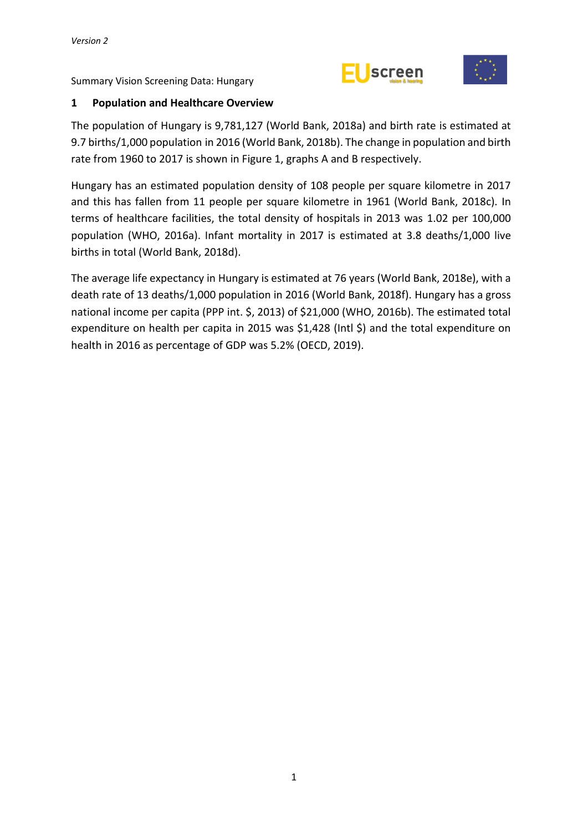



#### <span id="page-6-0"></span>**1 Population and Healthcare Overview**

The population of Hungary is 9,781,127 (World Bank, 2018a) and birth rate is estimated at 9.7 births/1,000 population in 2016 (World Bank, 2018b). The change in population and birth rate from 1960 to 2017 is shown in Figure 1, graphs A and B respectively.

Hungary has an estimated population density of 108 people per square kilometre in 2017 and this has fallen from 11 people per square kilometre in 1961 (World Bank, 2018c). In terms of healthcare facilities, the total density of hospitals in 2013 was 1.02 per 100,000 population (WHO, 2016a). Infant mortality in 2017 is estimated at 3.8 deaths/1,000 live births in total (World Bank, 2018d).

The average life expectancy in Hungary is estimated at 76 years (World Bank, 2018e), with a death rate of 13 deaths/1,000 population in 2016 (World Bank, 2018f). Hungary has a gross national income per capita (PPP int. \$, 2013) of \$21,000 (WHO, 2016b). The estimated total expenditure on health per capita in 2015 was \$1,428 (Intl \$) and the total expenditure on health in 2016 as percentage of GDP was 5.2% (OECD, 2019).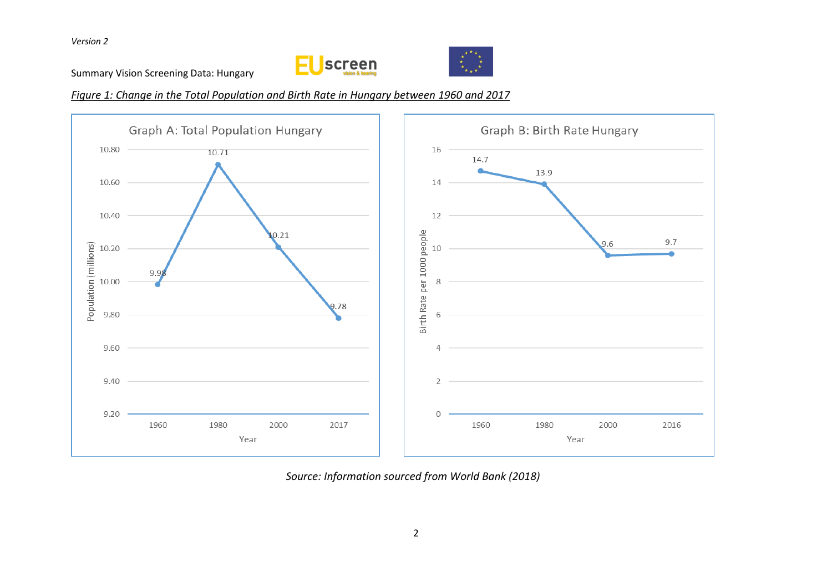Summary Vision Screening Data: Hungary





*Figure 1: Change in the Total Population and Birth Rate in Hungary between 1960 and 2017*



*Source: Information sourced from World Bank (2018)*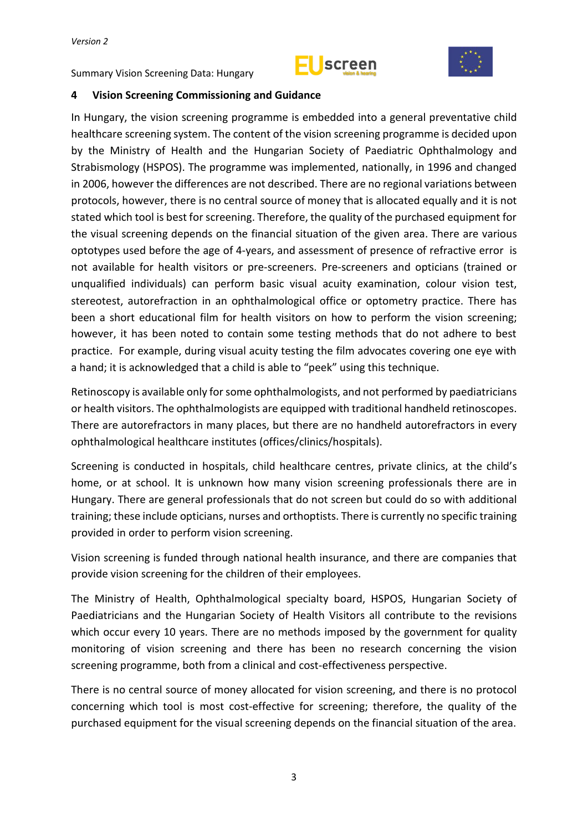



#### <span id="page-8-0"></span>**4 Vision Screening Commissioning and Guidance**

In Hungary, the vision screening programme is embedded into a general preventative child healthcare screening system. The content of the vision screening programme is decided upon by the Ministry of Health and the Hungarian Society of Paediatric Ophthalmology and Strabismology (HSPOS). The programme was implemented, nationally, in 1996 and changed in 2006, however the differences are not described. There are no regional variations between protocols, however, there is no central source of money that is allocated equally and it is not stated which tool is best for screening. Therefore, the quality of the purchased equipment for the visual screening depends on the financial situation of the given area. There are various optotypes used before the age of 4-years, and assessment of presence of refractive error is not available for health visitors or pre-screeners. Pre-screeners and opticians (trained or unqualified individuals) can perform basic visual acuity examination, colour vision test, stereotest, autorefraction in an ophthalmological office or optometry practice. There has been a short educational film for health visitors on how to perform the vision screening; however, it has been noted to contain some testing methods that do not adhere to best practice. For example, during visual acuity testing the film advocates covering one eye with a hand; it is acknowledged that a child is able to "peek" using this technique.

Retinoscopy is available only forsome ophthalmologists, and not performed by paediatricians or health visitors. The ophthalmologists are equipped with traditional handheld retinoscopes. There are autorefractors in many places, but there are no handheld autorefractors in every ophthalmological healthcare institutes (offices/clinics/hospitals).

Screening is conducted in hospitals, child healthcare centres, private clinics, at the child's home, or at school. It is unknown how many vision screening professionals there are in Hungary. There are general professionals that do not screen but could do so with additional training; these include opticians, nurses and orthoptists. There is currently no specific training provided in order to perform vision screening.

Vision screening is funded through national health insurance, and there are companies that provide vision screening for the children of their employees.

The Ministry of Health, Ophthalmological specialty board, HSPOS, Hungarian Society of Paediatricians and the Hungarian Society of Health Visitors all contribute to the revisions which occur every 10 years. There are no methods imposed by the government for quality monitoring of vision screening and there has been no research concerning the vision screening programme, both from a clinical and cost-effectiveness perspective.

There is no central source of money allocated for vision screening, and there is no protocol concerning which tool is most cost-effective for screening; therefore, the quality of the purchased equipment for the visual screening depends on the financial situation of the area.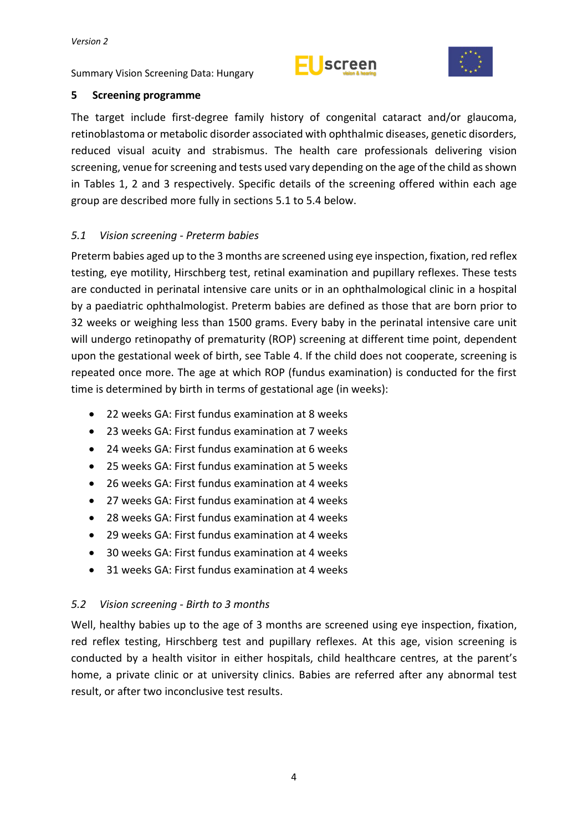Summary Vision Screening Data: Hungary





#### <span id="page-9-0"></span>**5 Screening programme**

The target include first-degree family history of congenital cataract and/or glaucoma, retinoblastoma or metabolic disorder associated with ophthalmic diseases, genetic disorders, reduced visual acuity and strabismus. The health care professionals delivering vision screening, venue for screening and tests used vary depending on the age of the child as shown in Tables 1, 2 and 3 respectively. Specific details of the screening offered within each age group are described more fully in sections 5.1 to 5.4 below.

### <span id="page-9-1"></span>*5.1 Vision screening - Preterm babies*

Preterm babies aged up to the 3 months are screened using eye inspection, fixation, red reflex testing, eye motility, Hirschberg test, retinal examination and pupillary reflexes. These tests are conducted in perinatal intensive care units or in an ophthalmological clinic in a hospital by a paediatric ophthalmologist. Preterm babies are defined as those that are born prior to 32 weeks or weighing less than 1500 grams. Every baby in the perinatal intensive care unit will undergo retinopathy of prematurity (ROP) screening at different time point, dependent upon the gestational week of birth, see Table 4. If the child does not cooperate, screening is repeated once more. The age at which ROP (fundus examination) is conducted for the first time is determined by birth in terms of gestational age (in weeks):

- 22 weeks GA: First fundus examination at 8 weeks
- 23 weeks GA: First fundus examination at 7 weeks
- 24 weeks GA: First fundus examination at 6 weeks
- 25 weeks GA: First fundus examination at 5 weeks
- 26 weeks GA: First fundus examination at 4 weeks
- 27 weeks GA: First fundus examination at 4 weeks
- 28 weeks GA: First fundus examination at 4 weeks
- 29 weeks GA: First fundus examination at 4 weeks
- 30 weeks GA: First fundus examination at 4 weeks
- 31 weeks GA: First fundus examination at 4 weeks

#### <span id="page-9-2"></span>*5.2 Vision screening - Birth to 3 months*

Well, healthy babies up to the age of 3 months are screened using eye inspection, fixation, red reflex testing, Hirschberg test and pupillary reflexes. At this age, vision screening is conducted by a health visitor in either hospitals, child healthcare centres, at the parent's home, a private clinic or at university clinics. Babies are referred after any abnormal test result, or after two inconclusive test results.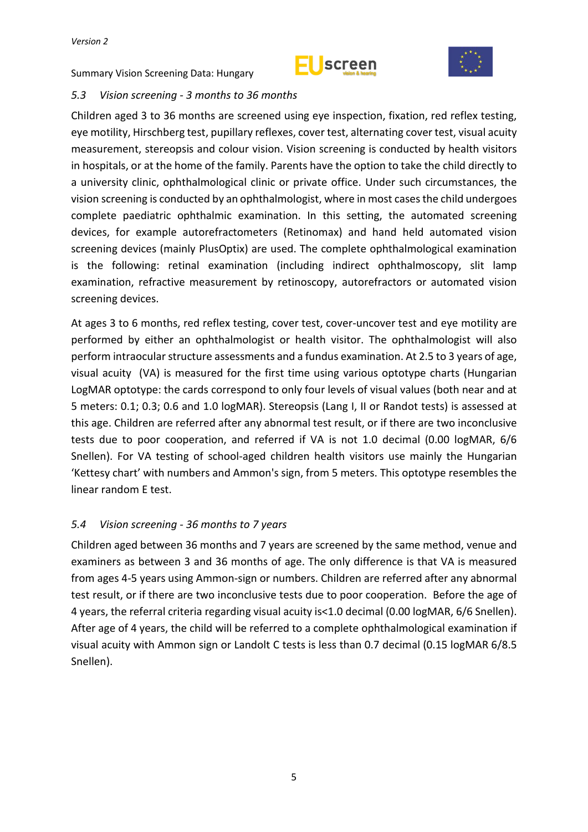



#### <span id="page-10-0"></span>*5.3 Vision screening - 3 months to 36 months*

Children aged 3 to 36 months are screened using eye inspection, fixation, red reflex testing, eye motility, Hirschberg test, pupillary reflexes, cover test, alternating cover test, visual acuity measurement, stereopsis and colour vision. Vision screening is conducted by health visitors in hospitals, or at the home of the family. Parents have the option to take the child directly to a university clinic, ophthalmological clinic or private office. Under such circumstances, the vision screening is conducted by an ophthalmologist, where in most casesthe child undergoes complete paediatric ophthalmic examination. In this setting, the automated screening devices, for example autorefractometers (Retinomax) and hand held automated vision screening devices (mainly PlusOptix) are used. The complete ophthalmological examination is the following: retinal examination (including indirect ophthalmoscopy, slit lamp examination, refractive measurement by retinoscopy, autorefractors or automated vision screening devices.

At ages 3 to 6 months, red reflex testing, cover test, cover-uncover test and eye motility are performed by either an ophthalmologist or health visitor. The ophthalmologist will also perform intraocular structure assessments and a fundus examination. At 2.5 to 3 years of age, visual acuity (VA) is measured for the first time using various optotype charts (Hungarian LogMAR optotype: the cards correspond to only four levels of visual values (both near and at 5 meters: 0.1; 0.3; 0.6 and 1.0 logMAR). Stereopsis (Lang I, II or Randot tests) is assessed at this age. Children are referred after any abnormal test result, or if there are two inconclusive tests due to poor cooperation, and referred if VA is not 1.0 decimal (0.00 logMAR, 6/6 Snellen). For VA testing of school-aged children health visitors use mainly the Hungarian 'Kettesy chart' with numbers and Ammon's sign, from 5 meters. This optotype resembles the linear random E test.

#### <span id="page-10-1"></span>*5.4 Vision screening - 36 months to 7 years*

Children aged between 36 months and 7 years are screened by the same method, venue and examiners as between 3 and 36 months of age. The only difference is that VA is measured from ages 4-5 years using Ammon-sign or numbers. Children are referred after any abnormal test result, or if there are two inconclusive tests due to poor cooperation. Before the age of 4 years, the referral criteria regarding visual acuity is<1.0 decimal (0.00 logMAR, 6/6 Snellen). After age of 4 years, the child will be referred to a complete ophthalmological examination if visual acuity with Ammon sign or Landolt C tests is less than 0.7 decimal (0.15 logMAR 6/8.5 Snellen).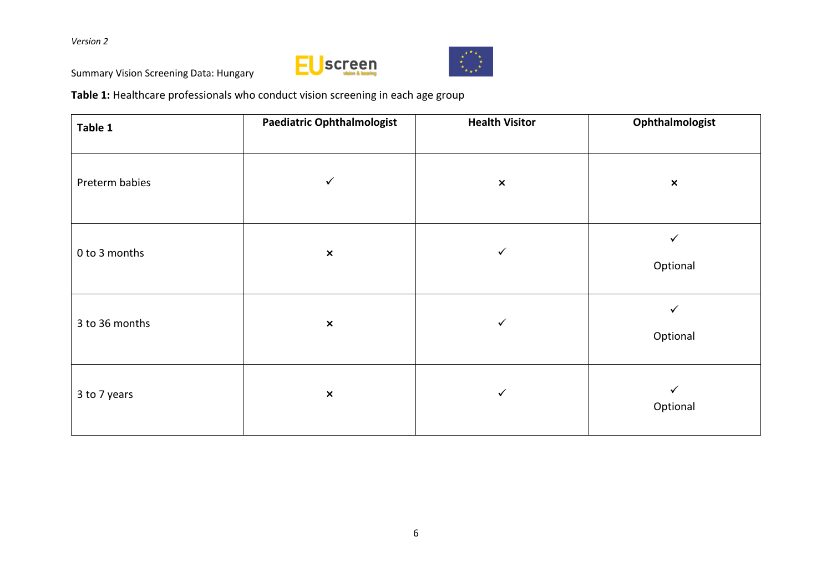Summary Vision Screening Data: Hungary





**Table 1:** Healthcare professionals who conduct vision screening in each age group

| Table 1        | <b>Paediatric Ophthalmologist</b> | <b>Health Visitor</b> | Ophthalmologist          |  |  |
|----------------|-----------------------------------|-----------------------|--------------------------|--|--|
| Preterm babies | ✓                                 | $\pmb{\times}$        | $\pmb{\times}$           |  |  |
| 0 to 3 months  | $\pmb{\times}$                    | ✓                     | ✓<br>Optional            |  |  |
| 3 to 36 months | $\pmb{\times}$                    | ✓                     | $\checkmark$<br>Optional |  |  |
| 3 to 7 years   | $\pmb{\times}$                    | ✓                     | ✓<br>Optional            |  |  |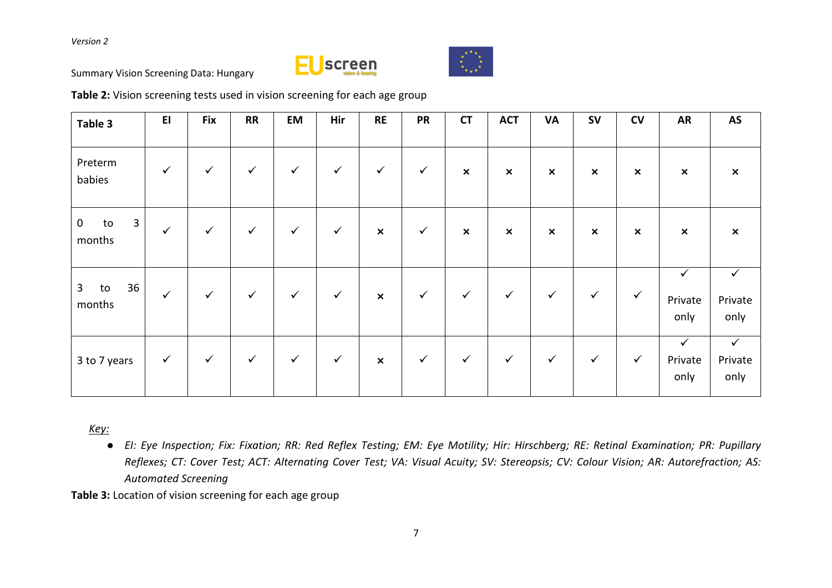



Summary Vision Screening Data: Hungary

**Table 2:** Vision screening tests used in vision screening for each age group

| Table 3                            | E1           | <b>Fix</b>   | <b>RR</b>    | <b>EM</b>    | Hir          | <b>RE</b>      | <b>PR</b>    | <b>CT</b>                 | <b>ACT</b>     | <b>VA</b>                 | <b>SV</b>                 | CV                        | <b>AR</b>                       | AS                              |
|------------------------------------|--------------|--------------|--------------|--------------|--------------|----------------|--------------|---------------------------|----------------|---------------------------|---------------------------|---------------------------|---------------------------------|---------------------------------|
| Preterm<br>babies                  | $\checkmark$ | $\checkmark$ | $\checkmark$ | $\checkmark$ | $\checkmark$ | $\checkmark$   | $\checkmark$ | $\boldsymbol{\mathsf{x}}$ | $\pmb{\times}$ | $\boldsymbol{\mathsf{x}}$ | $\boldsymbol{\mathsf{x}}$ | $\pmb{\times}$            | $\pmb{\times}$                  | $\boldsymbol{\mathsf{x}}$       |
| 3<br>$\mathbf 0$<br>to<br>months   | $\checkmark$ | $\checkmark$ | $\checkmark$ | $\checkmark$ | $\checkmark$ | $\pmb{\times}$ | $\checkmark$ | $\boldsymbol{\mathsf{x}}$ | $\pmb{\times}$ | $\pmb{\times}$            | $\pmb{\times}$            | $\boldsymbol{\mathsf{x}}$ | $\pmb{\times}$                  | $\boldsymbol{\mathsf{x}}$       |
| $\mathbf{3}$<br>36<br>to<br>months | $\checkmark$ | $\checkmark$ | $\checkmark$ | $\checkmark$ | $\checkmark$ | $\pmb{\times}$ | $\checkmark$ | $\checkmark$              | $\checkmark$   | $\checkmark$              | $\checkmark$              | $\checkmark$              | ✓<br>Private<br>only            | $\checkmark$<br>Private<br>only |
| 3 to 7 years                       | $\checkmark$ | $\checkmark$ | $\checkmark$ | $\checkmark$ | $\checkmark$ | $\pmb{\times}$ | $\checkmark$ | $\checkmark$              | $\checkmark$   | $\checkmark$              | $\checkmark$              | $\checkmark$              | $\checkmark$<br>Private<br>only | $\checkmark$<br>Private<br>only |

*Key:*

• El: Eye Inspection; Fix: Fixation; RR: Red Reflex Testing; EM: Eye Motility; Hir: Hirschberg; RE: Retinal Examination; PR: Pupillary Reflexes; CT: Cover Test; ACT: Alternating Cover Test; VA: Visual Acuity; SV: Stereopsis; CV: Colour Vision; AR: Autorefraction; AS: *Automated Screening*

**Table 3:** Location of vision screening for each age group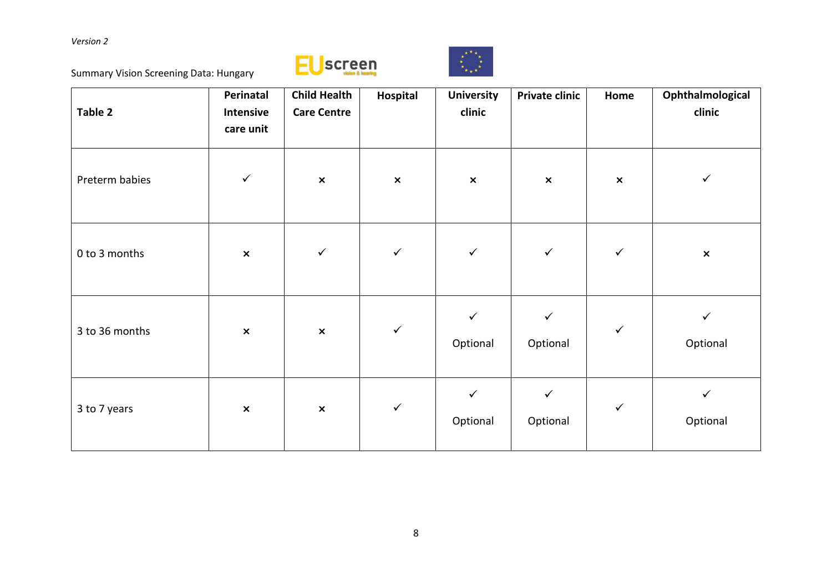Summary Vision Screening Data: Hungary





| Table 2        | Perinatal<br>Intensive<br>care unit | <b>Child Health</b><br><b>Care Centre</b> | Hospital       | <b>University</b><br>clinic | <b>Private clinic</b>    | Home           | Ophthalmological<br>clinic |
|----------------|-------------------------------------|-------------------------------------------|----------------|-----------------------------|--------------------------|----------------|----------------------------|
| Preterm babies | $\checkmark$                        | $\pmb{\times}$                            | $\pmb{\times}$ | $\pmb{\times}$              | $\pmb{\times}$           | $\pmb{\times}$ | $\checkmark$               |
| 0 to 3 months  | $\pmb{\times}$                      | $\checkmark$                              | $\checkmark$   | $\checkmark$                | $\checkmark$             | $\checkmark$   | $\pmb{\times}$             |
| 3 to 36 months | $\pmb{\times}$                      | $\pmb{\times}$                            | $\checkmark$   | $\checkmark$<br>Optional    | $\checkmark$<br>Optional | $\checkmark$   | ✓<br>Optional              |
| 3 to 7 years   | $\pmb{\times}$                      | $\pmb{\times}$                            | $\checkmark$   | $\checkmark$<br>Optional    | $\checkmark$<br>Optional | $\checkmark$   | $\checkmark$<br>Optional   |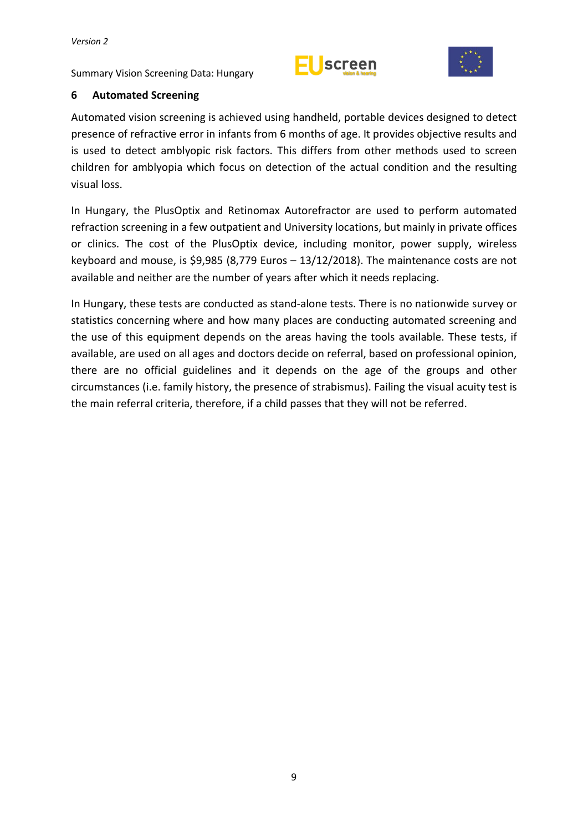Summary Vision Screening Data: Hungary





## <span id="page-14-0"></span>**6 Automated Screening**

Automated vision screening is achieved using handheld, portable devices designed to detect presence of refractive error in infants from 6 months of age. It provides objective results and is used to detect amblyopic risk factors. This differs from other methods used to screen children for amblyopia which focus on detection of the actual condition and the resulting visual loss.

In Hungary, the PlusOptix and Retinomax Autorefractor are used to perform automated refraction screening in a few outpatient and University locations, but mainly in private offices or clinics. The cost of the PlusOptix device, including monitor, power supply, wireless keyboard and mouse, is \$9,985 (8,779 Euros – 13/12/2018). The maintenance costs are not available and neither are the number of years after which it needs replacing.

In Hungary, these tests are conducted as stand-alone tests. There is no nationwide survey or statistics concerning where and how many places are conducting automated screening and the use of this equipment depends on the areas having the tools available. These tests, if available, are used on all ages and doctors decide on referral, based on professional opinion, there are no official guidelines and it depends on the age of the groups and other circumstances (i.e. family history, the presence of strabismus). Failing the visual acuity test is the main referral criteria, therefore, if a child passes that they will not be referred.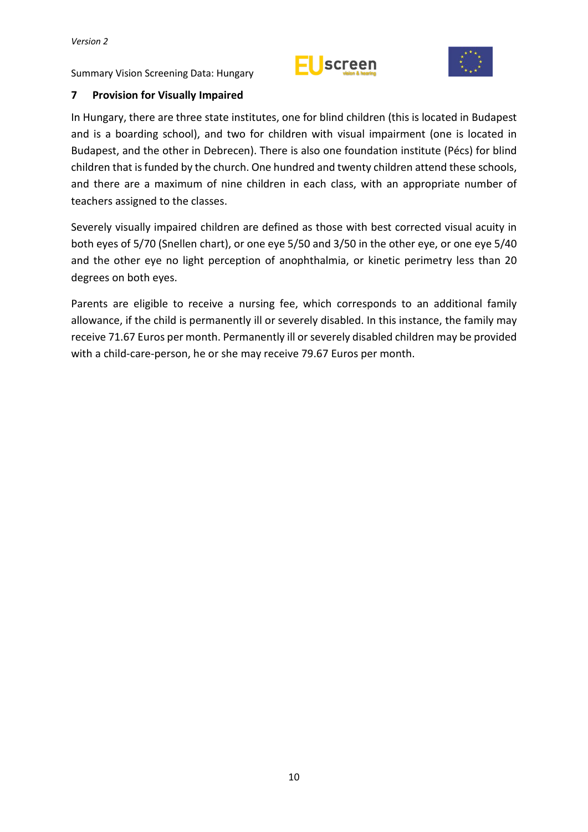



## <span id="page-15-0"></span>**7 Provision for Visually Impaired**

In Hungary, there are three state institutes, one for blind children (this is located in Budapest and is a boarding school), and two for children with visual impairment (one is located in Budapest, and the other in Debrecen). There is also one foundation institute (Pécs) for blind children that isfunded by the church. One hundred and twenty children attend these schools, and there are a maximum of nine children in each class, with an appropriate number of teachers assigned to the classes.

Severely visually impaired children are defined as those with best corrected visual acuity in both eyes of 5/70 (Snellen chart), or one eye 5/50 and 3/50 in the other eye, or one eye 5/40 and the other eye no light perception of anophthalmia, or kinetic perimetry less than 20 degrees on both eyes.

Parents are eligible to receive a nursing fee, which corresponds to an additional family allowance, if the child is permanently ill or severely disabled. In this instance, the family may receive 71.67 Euros per month. Permanently ill or severely disabled children may be provided with a child-care-person, he or she may receive 79.67 Euros per month.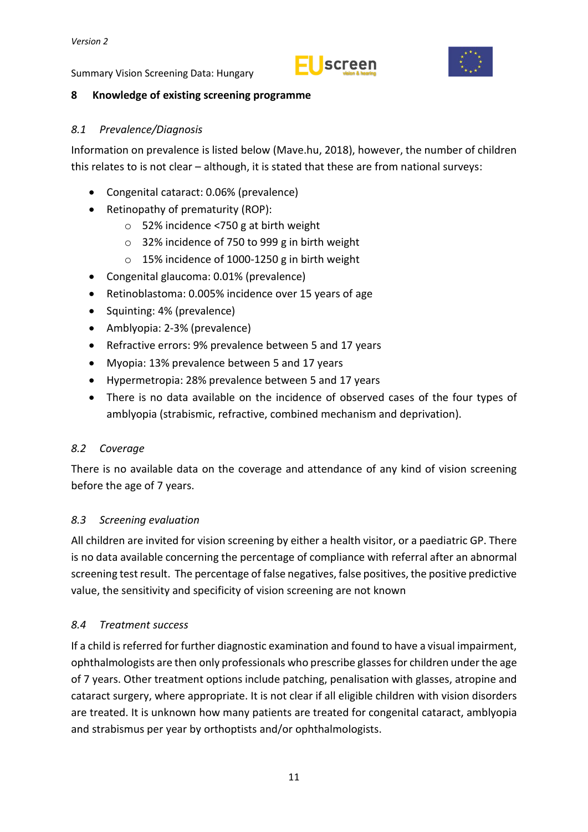



#### <span id="page-16-0"></span>**8 Knowledge of existing screening programme**

#### <span id="page-16-1"></span>*8.1 Prevalence/Diagnosis*

Information on prevalence is listed below (Mave.hu, 2018), however, the number of children this relates to is not clear – although, it is stated that these are from national surveys:

- Congenital cataract: 0.06% (prevalence)
- Retinopathy of prematurity (ROP):
	- o 52% incidence <750 g at birth weight
	- o 32% incidence of 750 to 999 g in birth weight
	- o 15% incidence of 1000-1250 g in birth weight
- Congenital glaucoma: 0.01% (prevalence)
- Retinoblastoma: 0.005% incidence over 15 years of age
- Squinting: 4% (prevalence)
- Amblyopia: 2-3% (prevalence)
- Refractive errors: 9% prevalence between 5 and 17 years
- Myopia: 13% prevalence between 5 and 17 years
- Hypermetropia: 28% prevalence between 5 and 17 years
- There is no data available on the incidence of observed cases of the four types of amblyopia (strabismic, refractive, combined mechanism and deprivation).

## <span id="page-16-2"></span>*8.2 Coverage*

There is no available data on the coverage and attendance of any kind of vision screening before the age of 7 years.

## <span id="page-16-3"></span>*8.3 Screening evaluation*

All children are invited for vision screening by either a health visitor, or a paediatric GP. There is no data available concerning the percentage of compliance with referral after an abnormal screening test result. The percentage of false negatives, false positives, the positive predictive value, the sensitivity and specificity of vision screening are not known

## <span id="page-16-4"></span>*8.4 Treatment success*

If a child isreferred for further diagnostic examination and found to have a visual impairment, ophthalmologists are then only professionals who prescribe glassesfor children under the age of 7 years. Other treatment options include patching, penalisation with glasses, atropine and cataract surgery, where appropriate. It is not clear if all eligible children with vision disorders are treated. It is unknown how many patients are treated for congenital cataract, amblyopia and strabismus per year by orthoptists and/or ophthalmologists.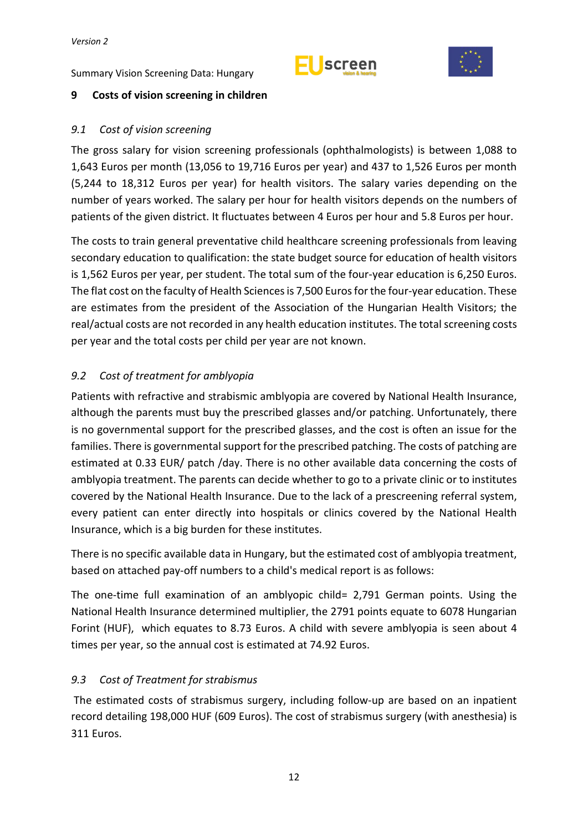



### <span id="page-17-0"></span>**9 Costs of vision screening in children**

#### <span id="page-17-1"></span>*9.1 Cost of vision screening*

The gross salary for vision screening professionals (ophthalmologists) is between 1,088 to 1,643 Euros per month (13,056 to 19,716 Euros per year) and 437 to 1,526 Euros per month (5,244 to 18,312 Euros per year) for health visitors. The salary varies depending on the number of years worked. The salary per hour for health visitors depends on the numbers of patients of the given district. It fluctuates between 4 Euros per hour and 5.8 Euros per hour.

The costs to train general preventative child healthcare screening professionals from leaving secondary education to qualification: the state budget source for education of health visitors is 1,562 Euros per year, per student. The total sum of the four-year education is 6,250 Euros. The flat cost on the faculty of Health Sciences is 7,500 Euros for the four-year education. These are estimates from the president of the Association of the Hungarian Health Visitors; the real/actual costs are not recorded in any health education institutes. The total screening costs per year and the total costs per child per year are not known.

### <span id="page-17-2"></span>*9.2 Cost of treatment for amblyopia*

Patients with refractive and strabismic amblyopia are covered by National Health Insurance, although the parents must buy the prescribed glasses and/or patching. Unfortunately, there is no governmental support for the prescribed glasses, and the cost is often an issue for the families. There is governmental support for the prescribed patching. The costs of patching are estimated at 0.33 EUR/ patch /day. There is no other available data concerning the costs of amblyopia treatment. The parents can decide whether to go to a private clinic or to institutes covered by the National Health Insurance. Due to the lack of a prescreening referral system, every patient can enter directly into hospitals or clinics covered by the National Health Insurance, which is a big burden for these institutes.

There is no specific available data in Hungary, but the estimated cost of amblyopia treatment, based on attached pay-off numbers to a child's medical report is as follows:

The one-time full examination of an amblyopic child= 2,791 German points. Using the National Health Insurance determined multiplier, the 2791 points equate to 6078 Hungarian Forint (HUF), which equates to 8.73 Euros. A child with severe amblyopia is seen about 4 times per year, so the annual cost is estimated at 74.92 Euros.

#### <span id="page-17-3"></span>*9.3 Cost of Treatment for strabismus*

The estimated costs of strabismus surgery, including follow-up are based on an inpatient record detailing 198,000 HUF (609 Euros). The cost of strabismus surgery (with anesthesia) is 311 Euros.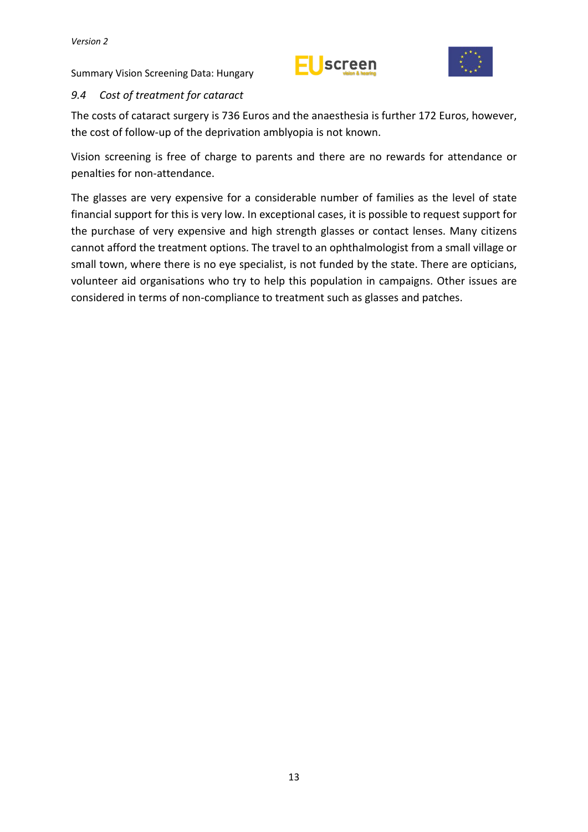



## <span id="page-18-0"></span>*9.4 Cost of treatment for cataract*

The costs of cataract surgery is 736 Euros and the anaesthesia is further 172 Euros, however, the cost of follow-up of the deprivation amblyopia is not known.

Vision screening is free of charge to parents and there are no rewards for attendance or penalties for non-attendance.

The glasses are very expensive for a considerable number of families as the level of state financial support for this is very low. In exceptional cases, it is possible to request support for the purchase of very expensive and high strength glasses or contact lenses. Many citizens cannot afford the treatment options. The travel to an ophthalmologist from a small village or small town, where there is no eye specialist, is not funded by the state. There are opticians, volunteer aid organisations who try to help this population in campaigns. Other issues are considered in terms of non-compliance to treatment such as glasses and patches.